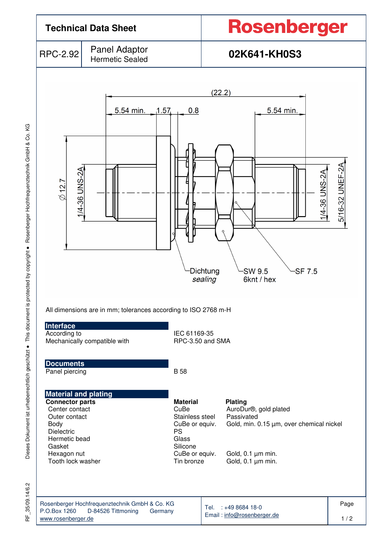

Dieses Dokument ist urheberrechtlich geschützt · This document is protected by copyright · Rosenberger Hochfrequenztechnik GmbH & Co. KG Dieses Dokument ist urheberrechtlich geschützt ● This document is protected by copyright ● Rosenberger Hochfrequenztechnik GmbH & Co. KG

35/09.14/6.2 RF\_35/09.14/6.2 눈